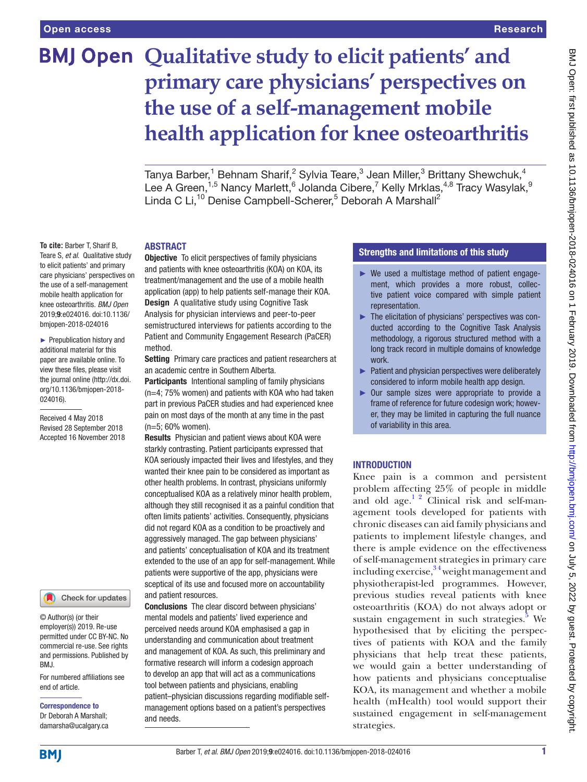**To cite:** Barber T, Sharif B,

to elicit patients' and primary

the use of a self-management mobile health application for knee osteoarthritis. *BMJ Open* 2019;9:e024016. doi:10.1136/ bmjopen-2018-024016 ► Prepublication history and additional material for this paper are available online. To view these files, please visit the journal online [\(http://dx.doi.](http://dx.doi.org/10.1136/bmjopen-2018-024016) [org/10.1136/bmjopen-2018-](http://dx.doi.org/10.1136/bmjopen-2018-024016)

[024016\)](http://dx.doi.org/10.1136/bmjopen-2018-024016).

Received 4 May 2018 Revised 28 September 2018 Accepted 16 November 2018

# **BMJ Open Qualitative study to elicit patients' and primary care physicians' perspectives on the use of a self-management mobile health application for knee osteoarthritis**

Tanya Barber,<sup>1</sup> Behnam Sharif,<sup>2</sup> Sylvia Teare, $^3$  Jean Miller, $^3$  Brittany Shewchuk, $^4$ Lee A Green,<sup>1,5</sup> Nancy Marlett, <sup>6</sup> Jolanda Cibere, <sup>7</sup> Kelly Mrklas,  $4.8$  Tracy Wasylak,  $9$ Linda C Li,<sup>10</sup> Denise Campbell-Scherer,<sup>5</sup> Deborah A Marshall<sup>2</sup>

# **ABSTRACT**

Teare S, *et al*. Qualitative study care physicians' perspectives on **Objective** To elicit perspectives of family physicians and patients with knee osteoarthritis (KOA) on KOA, its treatment/management and the use of a mobile health application (app) to help patients self-manage their KOA. **Design** A qualitative study using Cognitive Task Analysis for physician interviews and peer-to-peer semistructured interviews for patients according to the Patient and Community Engagement Research (PaCER) method.

> Setting Primary care practices and patient researchers at an academic centre in Southern Alberta.

> Participants Intentional sampling of family physicians (n=4; 75% women) and patients with KOA who had taken part in previous PaCER studies and had experienced knee pain on most days of the month at any time in the past (n=5; 60% women).

> Results Physician and patient views about KOA were starkly contrasting. Patient participants expressed that KOA seriously impacted their lives and lifestyles, and they wanted their knee pain to be considered as important as other health problems. In contrast, physicians uniformly conceptualised KOA as a relatively minor health problem, although they still recognised it as a painful condition that often limits patients' activities. Consequently, physicians did not regard KOA as a condition to be proactively and aggressively managed. The gap between physicians' and patients' conceptualisation of KOA and its treatment extended to the use of an app for self-management. While patients were supportive of the app, physicians were sceptical of its use and focused more on accountability and patient resources.

Conclusions The clear discord between physicians' mental models and patients' lived experience and perceived needs around KOA emphasised a gap in understanding and communication about treatment and management of KOA. As such, this preliminary and formative research will inform a codesign approach to develop an app that will act as a communications tool between patients and physicians, enabling patient–physician discussions regarding modifiable selfmanagement options based on a patient's perspectives and needs.

# Strengths and limitations of this study

- ► We used a multistage method of patient engagement, which provides a more robust, collective patient voice compared with simple patient representation.
- ► The elicitation of physicians' perspectives was conducted according to the Cognitive Task Analysis methodology, a rigorous structured method with a long track record in multiple domains of knowledge work.
- ► Patient and physician perspectives were deliberately considered to inform mobile health app design.
- ► Our sample sizes were appropriate to provide a frame of reference for future codesign work; however, they may be limited in capturing the full nuance of variability in this area.

# **INTRODUCTION**

Knee pain is a common and persistent problem affecting 25% of people in middle and old age. $12$  Clinical risk and self-management tools developed for patients with chronic diseases can aid family physicians and patients to implement lifestyle changes, and there is ample evidence on the effectiveness of self-management strategies in primary care including exercise, $34$  weight management and physiotherapist-led programmes. However, previous studies reveal patients with knee osteoarthritis (KOA) do not always adopt or sustain engagement in such strategies. $5$  We hypothesised that by eliciting the perspectives of patients with KOA and the family physicians that help treat these patients, we would gain a better understanding of how patients and physicians conceptualise KOA, its management and whether a mobile health (mHealth) tool would support their sustained engagement in self-management strategies.

© Author(s) (or their employer(s)) 2019. Re-use

permitted under CC BY-NC. No commercial re-use. See rights and permissions. Published by BMJ.

Check for updates

For numbered affiliations see end of article.

Correspondence to Dr Deborah A Marshall; damarsha@ucalgary.ca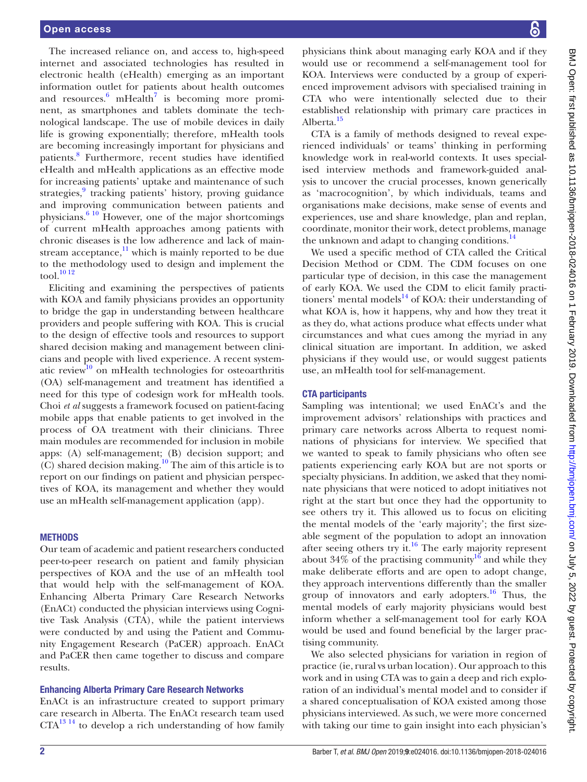The increased reliance on, and access to, high-speed internet and associated technologies has resulted in electronic health (eHealth) emerging as an important information outlet for patients about health outcomes and resources. $\frac{6}{5}$  $\frac{6}{5}$  $\frac{6}{5}$  mHealth<sup>[7](#page-7-0)</sup> is becoming more prominent, as smartphones and tablets dominate the technological landscape. The use of mobile devices in daily life is growing exponentially; therefore, mHealth tools are becoming increasingly important for physicians and patients.[8](#page-7-1) Furthermore, recent studies have identified eHealth and mHealth applications as an effective mode for increasing patients' uptake and maintenance of such strategies,<sup>[9](#page-7-2)</sup> tracking patients' history, proving guidance and improving communication between patients and physicians.[6 10](#page-6-3) However, one of the major shortcomings of current mHealth approaches among patients with chronic diseases is the low adherence and lack of mainstream acceptance, $\frac{11}{11}$  which is mainly reported to be due to the methodology used to design and implement the tool.<sup>[10 12](#page-7-4)</sup>

Eliciting and examining the perspectives of patients with KOA and family physicians provides an opportunity to bridge the gap in understanding between healthcare providers and people suffering with KOA. This is crucial to the design of effective tools and resources to support shared decision making and management between clinicians and people with lived experience. A recent systematic review<sup>10</sup> on mHealth technologies for osteoarthritis (OA) self-management and treatment has identified a need for this type of codesign work for mHealth tools. Choi *et al* suggests a framework focused on patient-facing mobile apps that enable patients to get involved in the process of OA treatment with their clinicians. Three main modules are recommended for inclusion in mobile apps: (A) self-management; (B) decision support; and  $(C)$  shared decision making.<sup>10</sup> The aim of this article is to report on our findings on patient and physician perspectives of KOA, its management and whether they would use an mHealth self-management application (app).

# **METHODS**

Our team of academic and patient researchers conducted peer-to-peer research on patient and family physician perspectives of KOA and the use of an mHealth tool that would help with the self-management of KOA. Enhancing Alberta Primary Care Research Networks (EnACt) conducted the physician interviews using Cognitive Task Analysis (CTA), while the patient interviews were conducted by and using the Patient and Community Engagement Research (PaCER) approach. EnACt and PaCER then came together to discuss and compare results.

# Enhancing Alberta Primary Care Research Networks

EnACt is an infrastructure created to support primary care research in Alberta. The EnACt research team used  $CTA<sup>13 14</sup>$  $CTA<sup>13 14</sup>$  $CTA<sup>13 14</sup>$  to develop a rich understanding of how family

physicians think about managing early KOA and if they would use or recommend a self-management tool for KOA. Interviews were conducted by a group of experienced improvement advisors with specialised training in CTA who were intentionally selected due to their established relationship with primary care practices in Alberta.<sup>[15](#page-7-6)</sup>

CTA is a family of methods designed to reveal experienced individuals' or teams' thinking in performing knowledge work in real-world contexts. It uses specialised interview methods and framework-guided analysis to uncover the crucial processes, known generically as 'macrocognition', by which individuals, teams and organisations make decisions, make sense of events and experiences, use and share knowledge, plan and replan, coordinate, monitor their work, detect problems, manage the unknown and adapt to changing conditions. $^{14}$  $^{14}$  $^{14}$ 

We used a specific method of CTA called the Critical Decision Method or CDM. The CDM focuses on one particular type of decision, in this case the management of early KOA. We used the CDM to elicit family practitioners' mental models $^{14}$  $^{14}$  $^{14}$  of KOA: their understanding of what KOA is, how it happens, why and how they treat it as they do, what actions produce what effects under what circumstances and what cues among the myriad in any clinical situation are important. In addition, we asked physicians if they would use, or would suggest patients use, an mHealth tool for self-management.

# CTA participants

Sampling was intentional; we used EnACt's and the improvement advisors' relationships with practices and primary care networks across Alberta to request nominations of physicians for interview. We specified that we wanted to speak to family physicians who often see patients experiencing early KOA but are not sports or specialty physicians. In addition, we asked that they nominate physicians that were noticed to adopt initiatives not right at the start but once they had the opportunity to see others try it. This allowed us to focus on eliciting the mental models of the 'early majority'; the first sizeable segment of the population to adopt an innovation after seeing others try it.<sup>[16](#page-7-8)</sup> The early majority represent about  $34\%$  of the practising community<sup>16</sup> and while they make deliberate efforts and are open to adopt change, they approach interventions differently than the smaller group of innovators and early adopters.<sup>16</sup> Thus, the mental models of early majority physicians would best inform whether a self-management tool for early KOA would be used and found beneficial by the larger practising community.

We also selected physicians for variation in region of practice (ie, rural vs urban location). Our approach to this work and in using CTA was to gain a deep and rich exploration of an individual's mental model and to consider if a shared conceptualisation of KOA existed among those physicians interviewed. As such, we were more concerned with taking our time to gain insight into each physician's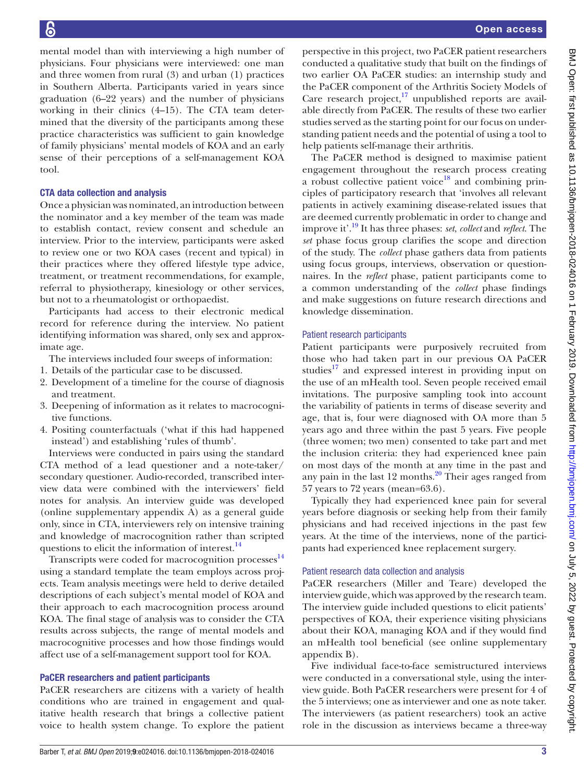mental model than with interviewing a high number of physicians. Four physicians were interviewed: one man and three women from rural (3) and urban (1) practices in Southern Alberta. Participants varied in years since graduation (6–22 years) and the number of physicians working in their clinics (4–15). The CTA team determined that the diversity of the participants among these practice characteristics was sufficient to gain knowledge of family physicians' mental models of KOA and an early sense of their perceptions of a self-management KOA tool.

# CTA data collection and analysis

Once a physician was nominated, an introduction between the nominator and a key member of the team was made to establish contact, review consent and schedule an interview. Prior to the interview, participants were asked to review one or two KOA cases (recent and typical) in their practices where they offered lifestyle type advice, treatment, or treatment recommendations, for example, referral to physiotherapy, kinesiology or other services, but not to a rheumatologist or orthopaedist.

Participants had access to their electronic medical record for reference during the interview. No patient identifying information was shared, only sex and approximate age.

The interviews included four sweeps of information:

- 1. Details of the particular case to be discussed.
- 2. Development of a timeline for the course of diagnosis and treatment.
- 3. Deepening of information as it relates to macrocognitive functions.
- 4. Positing counterfactuals ('what if this had happened instead') and establishing 'rules of thumb'.

Interviews were conducted in pairs using the standard CTA method of a lead questioner and a note-taker/ secondary questioner. Audio-recorded, transcribed interview data were combined with the interviewers' field notes for analysis. An interview guide was developed (online [supplementary appendix A\)](https://dx.doi.org/10.1136/bmjopen-2018-024016) as a general guide only, since in CTA, interviewers rely on intensive training and knowledge of macrocognition rather than scripted questions to elicit the information of interest.<sup>14</sup>

Transcripts were coded for macrocognition processes $14$ using a standard template the team employs across projects. Team analysis meetings were held to derive detailed descriptions of each subject's mental model of KOA and their approach to each macrocognition process around KOA. The final stage of analysis was to consider the CTA results across subjects, the range of mental models and macrocognitive processes and how those findings would affect use of a self-management support tool for KOA.

# PaCER researchers and patient participants

PaCER researchers are citizens with a variety of health conditions who are trained in engagement and qualitative health research that brings a collective patient voice to health system change. To explore the patient

perspective in this project, two PaCER patient researchers conducted a qualitative study that built on the findings of two earlier OA PaCER studies: an internship study and the PaCER component of the Arthritis Society Models of Care research project, $17$  unpublished reports are available directly from PaCER. The results of these two earlier studies served as the starting point for our focus on understanding patient needs and the potential of using a tool to help patients self-manage their arthritis.

The PaCER method is designed to maximise patient engagement throughout the research process creating a robust collective patient voice<sup>18</sup> and combining principles of participatory research that 'involves all relevant patients in actively examining disease-related issues that are deemed currently problematic in order to change and improve it'.[19](#page-7-11) It has three phases: *set*, *collect* and *reflect*. The *set* phase focus group clarifies the scope and direction of the study. The *collect* phase gathers data from patients using focus groups, interviews, observation or questionnaires. In the *reflect* phase, patient participants come to a common understanding of the *collect* phase findings and make suggestions on future research directions and knowledge dissemination.

# Patient research participants

Patient participants were purposively recruited from those who had taken part in our previous OA PaCER studies<sup>17</sup> and expressed interest in providing input on the use of an mHealth tool. Seven people received email invitations. The purposive sampling took into account the variability of patients in terms of disease severity and age, that is, four were diagnosed with OA more than 5 years ago and three within the past 5 years. Five people (three women; two men) consented to take part and met the inclusion criteria: they had experienced knee pain on most days of the month at any time in the past and any pain in the last  $12$  months.<sup>20</sup> Their ages ranged from 57 years to 72 years (mean=63.6).

Typically they had experienced knee pain for several years before diagnosis or seeking help from their family physicians and had received injections in the past few years. At the time of the interviews, none of the participants had experienced knee replacement surgery.

# Patient research data collection and analysis

PaCER researchers (Miller and Teare) developed the interview guide, which was approved by the research team. The interview guide included questions to elicit patients' perspectives of KOA, their experience visiting physicians about their KOA, managing KOA and if they would find an mHealth tool beneficial (see online [supplementary](https://dx.doi.org/10.1136/bmjopen-2018-024016)  [appendix B](https://dx.doi.org/10.1136/bmjopen-2018-024016)).

Five individual face-to-face semistructured interviews were conducted in a conversational style, using the interview guide. Both PaCER researchers were present for 4 of the 5 interviews; one as interviewer and one as note taker. The interviewers (as patient researchers) took an active role in the discussion as interviews became a three-way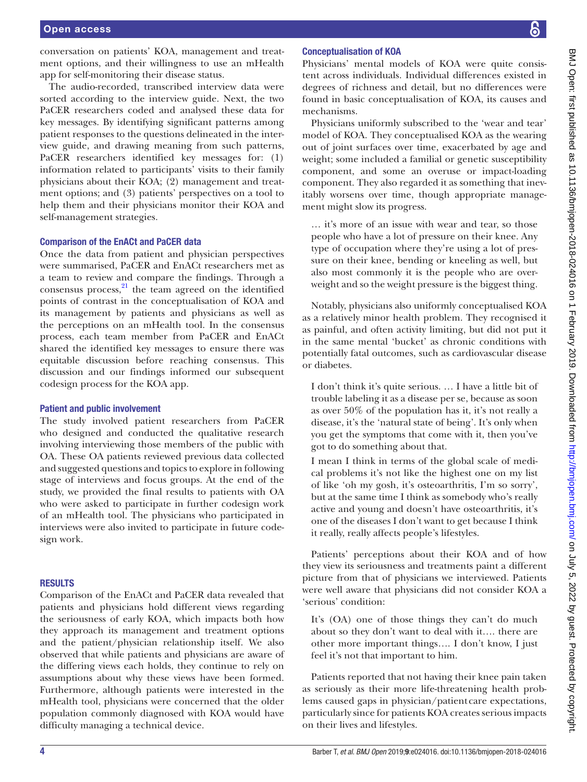conversation on patients' KOA, management and treatment options, and their willingness to use an mHealth app for self-monitoring their disease status.

The audio-recorded, transcribed interview data were sorted according to the interview guide. Next, the two PaCER researchers coded and analysed these data for key messages. By identifying significant patterns among patient responses to the questions delineated in the interview guide, and drawing meaning from such patterns, PaCER researchers identified key messages for: (1) information related to participants' visits to their family physicians about their KOA; (2) management and treatment options; and (3) patients' perspectives on a tool to help them and their physicians monitor their KOA and self-management strategies.

# Comparison of the EnACt and PaCER data

Once the data from patient and physician perspectives were summarised, PaCER and EnACt researchers met as a team to review and compare the findings. Through a consensus process, $^{21}$  the team agreed on the identified points of contrast in the conceptualisation of KOA and its management by patients and physicians as well as the perceptions on an mHealth tool. In the consensus process, each team member from PaCER and EnACt shared the identified key messages to ensure there was equitable discussion before reaching consensus. This discussion and our findings informed our subsequent codesign process for the KOA app.

#### Patient and public involvement

The study involved patient researchers from PaCER who designed and conducted the qualitative research involving interviewing those members of the public with OA. These OA patients reviewed previous data collected and suggested questions and topics to explore in following stage of interviews and focus groups. At the end of the study, we provided the final results to patients with OA who were asked to participate in further codesign work of an mHealth tool. The physicians who participated in interviews were also invited to participate in future codesign work.

#### **RESULTS**

Comparison of the EnACt and PaCER data revealed that patients and physicians hold different views regarding the seriousness of early KOA, which impacts both how they approach its management and treatment options and the patient/physician relationship itself. We also observed that while patients and physicians are aware of the differing views each holds, they continue to rely on assumptions about why these views have been formed. Furthermore, although patients were interested in the mHealth tool, physicians were concerned that the older population commonly diagnosed with KOA would have difficulty managing a technical device.

Physicians' mental models of KOA were quite consistent across individuals. Individual differences existed in degrees of richness and detail, but no differences were found in basic conceptualisation of KOA, its causes and mechanisms.

Physicians uniformly subscribed to the 'wear and tear' model of KOA. They conceptualised KOA as the wearing out of joint surfaces over time, exacerbated by age and weight; some included a familial or genetic susceptibility component, and some an overuse or impact-loading component. They also regarded it as something that inevitably worsens over time, though appropriate management might slow its progress.

… it's more of an issue with wear and tear, so those people who have a lot of pressure on their knee. Any type of occupation where they're using a lot of pressure on their knee, bending or kneeling as well, but also most commonly it is the people who are overweight and so the weight pressure is the biggest thing.

Notably, physicians also uniformly conceptualised KOA as a relatively minor health problem. They recognised it as painful, and often activity limiting, but did not put it in the same mental 'bucket' as chronic conditions with potentially fatal outcomes, such as cardiovascular disease or diabetes.

I don't think it's quite serious. … I have a little bit of trouble labeling it as a disease per se, because as soon as over 50% of the population has it, it's not really a disease, it's the 'natural state of being'. It's only when you get the symptoms that come with it, then you've got to do something about that.

I mean I think in terms of the global scale of medical problems it's not like the highest one on my list of like 'oh my gosh, it's osteoarthritis, I'm so sorry', but at the same time I think as somebody who's really active and young and doesn't have osteoarthritis, it's one of the diseases I don't want to get because I think it really, really affects people's lifestyles.

Patients' perceptions about their KOA and of how they view its seriousness and treatments paint a different picture from that of physicians we interviewed. Patients were well aware that physicians did not consider KOA a 'serious' condition:

It's (OA) one of those things they can't do much about so they don't want to deal with it…. there are other more important things…. I don't know, I just feel it's not that important to him.

Patients reported that not having their knee pain taken as seriously as their more life-threatening health problems caused gaps in physician/patient care expectations, particularly since for patients KOA creates serious impacts on their lives and lifestyles.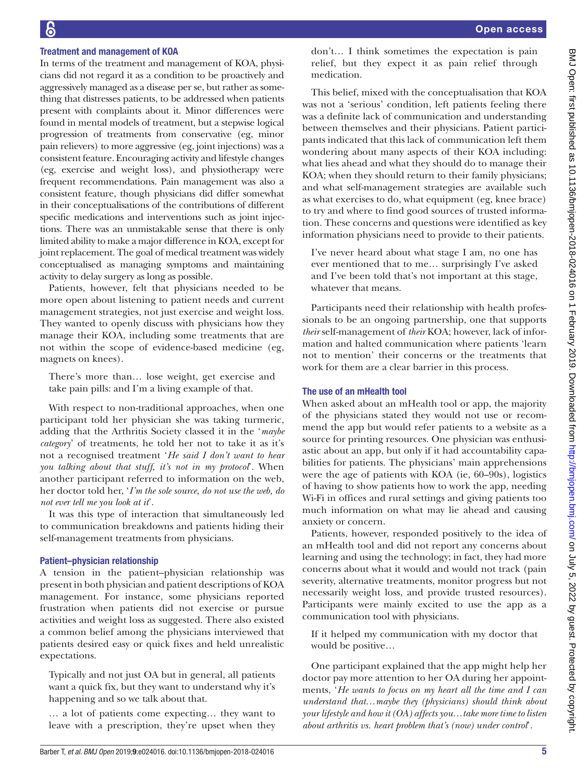# Treatment and management of KOA

In terms of the treatment and management of KOA, physicians did not regard it as a condition to be proactively and aggressively managed as a disease per se, but rather as something that distresses patients, to be addressed when patients present with complaints about it. Minor differences were found in mental models of treatment, but a stepwise logical progression of treatments from conservative (eg, minor pain relievers) to more aggressive (eg, joint injections) was a consistent feature. Encouraging activity and lifestyle changes (eg, exercise and weight loss), and physiotherapy were frequent recommendations. Pain management was also a consistent feature, though physicians did differ somewhat in their conceptualisations of the contributions of different specific medications and interventions such as joint injections. There was an unmistakable sense that there is only limited ability to make a major difference in KOA, except for joint replacement. The goal of medical treatment was widely conceptualised as managing symptoms and maintaining activity to delay surgery as long as possible.

Patients, however, felt that physicians needed to be more open about listening to patient needs and current management strategies, not just exercise and weight loss. They wanted to openly discuss with physicians how they manage their KOA, including some treatments that are not within the scope of evidence-based medicine (eg, magnets on knees).

There's more than… lose weight, get exercise and take pain pills: and I'm a living example of that.

With respect to non-traditional approaches, when one participant told her physician she was taking turmeric, adding that the Arthritis Society classed it in the '*maybe category*' of treatments, he told her not to take it as it's not a recognised treatment '*He said I don't want to hear you talking about that stuff, it's not in my protocol*'. When another participant referred to information on the web, her doctor told her, '*I'm the sole source, do not use the web, do not ever tell me you look at it*'.

It was this type of interaction that simultaneously led to communication breakdowns and patients hiding their self-management treatments from physicians.

# Patient–physician relationship

A tension in the patient–physician relationship was present in both physician and patient descriptions of KOA management. For instance, some physicians reported frustration when patients did not exercise or pursue activities and weight loss as suggested. There also existed a common belief among the physicians interviewed that patients desired easy or quick fixes and held unrealistic expectations.

Typically and not just OA but in general, all patients want a quick fix, but they want to understand why it's happening and so we talk about that.

… a lot of patients come expecting… they want to leave with a prescription, they're upset when they don't… I think sometimes the expectation is pain relief, but they expect it as pain relief through medication.

This belief, mixed with the conceptualisation that KOA was not a 'serious' condition, left patients feeling there was a definite lack of communication and understanding between themselves and their physicians. Patient participants indicated that this lack of communication left them wondering about many aspects of their KOA including: what lies ahead and what they should do to manage their KOA; when they should return to their family physicians; and what self-management strategies are available such as what exercises to do, what equipment (eg, knee brace) to try and where to find good sources of trusted information. These concerns and questions were identified as key information physicians need to provide to their patients.

I've never heard about what stage I am, no one has ever mentioned that to me… surprisingly I've asked and I've been told that's not important at this stage, whatever that means.

Participants need their relationship with health professionals to be an ongoing partnership, one that supports *their* self-management of *their* KOA; however, lack of information and halted communication where patients 'learn not to mention' their concerns or the treatments that work for them are a clear barrier in this process.

# The use of an mHealth tool

When asked about an mHealth tool or app, the majority of the physicians stated they would not use or recommend the app but would refer patients to a website as a source for printing resources. One physician was enthusiastic about an app, but only if it had accountability capabilities for patients. The physicians' main apprehensions were the age of patients with KOA (ie, 60–90s), logistics of having to show patients how to work the app, needing Wi-Fi in offices and rural settings and giving patients too much information on what may lie ahead and causing anxiety or concern.

Patients, however, responded positively to the idea of an mHealth tool and did not report any concerns about learning and using the technology; in fact, they had more concerns about what it would and would not track (pain severity, alternative treatments, monitor progress but not necessarily weight loss, and provide trusted resources). Participants were mainly excited to use the app as a communication tool with physicians.

If it helped my communication with my doctor that would be positive…

One participant explained that the app might help her doctor pay more attention to her OA during her appointments, '*He wants to focus on my heart all the time and I can understand that…maybe they (physicians) should think about your lifestyle and how it (OA) affects you…take more time to listen about arthritis vs. heart problem that's (now) under control*'.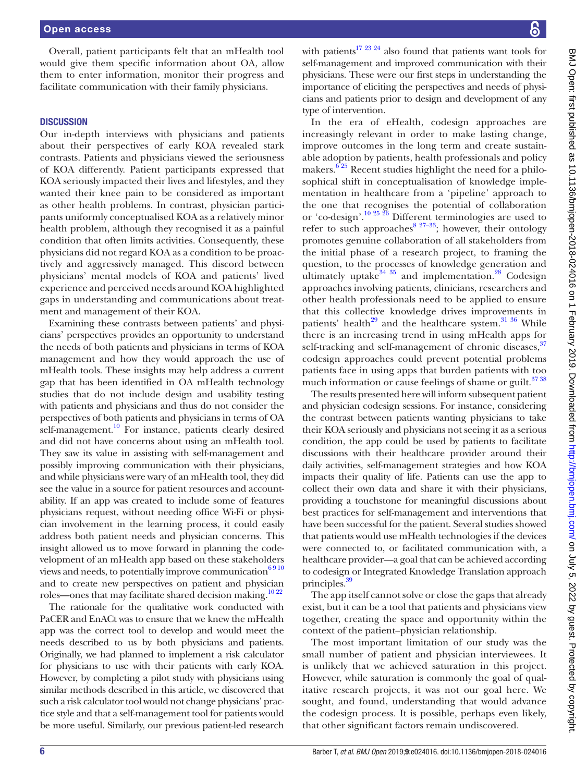Overall, patient participants felt that an mHealth tool would give them specific information about OA, allow them to enter information, monitor their progress and facilitate communication with their family physicians.

#### **DISCUSSION**

Our in-depth interviews with physicians and patients about their perspectives of early KOA revealed stark contrasts. Patients and physicians viewed the seriousness of KOA differently. Patient participants expressed that KOA seriously impacted their lives and lifestyles, and they wanted their knee pain to be considered as important as other health problems. In contrast, physician participants uniformly conceptualised KOA as a relatively minor health problem, although they recognised it as a painful condition that often limits activities. Consequently, these physicians did not regard KOA as a condition to be proactively and aggressively managed. This discord between physicians' mental models of KOA and patients' lived experience and perceived needs around KOA highlighted gaps in understanding and communications about treatment and management of their KOA.

Examining these contrasts between patients' and physicians' perspectives provides an opportunity to understand the needs of both patients and physicians in terms of KOA management and how they would approach the use of mHealth tools. These insights may help address a current gap that has been identified in OA mHealth technology studies that do not include design and usability testing with patients and physicians and thus do not consider the perspectives of both patients and physicians in terms of OA self-management.<sup>10</sup> For instance, patients clearly desired and did not have concerns about using an mHealth tool. They saw its value in assisting with self-management and possibly improving communication with their physicians, and while physicians were wary of an mHealth tool, they did see the value in a source for patient resources and accountability. If an app was created to include some of features physicians request, without needing office Wi-Fi or physician involvement in the learning process, it could easily address both patient needs and physician concerns. This insight allowed us to move forward in planning the codevelopment of an mHealth app based on these stakeholders views and needs, to potentially improve communication<sup>6910</sup> and to create new perspectives on patient and physician roles—ones that may facilitate shared decision making.<sup>[10 22](#page-7-4)</sup>

The rationale for the qualitative work conducted with PaCER and EnACt was to ensure that we knew the mHealth app was the correct tool to develop and would meet the needs described to us by both physicians and patients. Originally, we had planned to implement a risk calculator for physicians to use with their patients with early KOA. However, by completing a pilot study with physicians using similar methods described in this article, we discovered that such a risk calculator tool would not change physicians' practice style and that a self-management tool for patients would be more useful. Similarly, our previous patient-led research with patients<sup>17 23 24</sup> also found that patients want tools for self-management and improved communication with their physicians. These were our first steps in understanding the importance of eliciting the perspectives and needs of physicians and patients prior to design and development of any type of intervention.

In the era of eHealth, codesign approaches are increasingly relevant in order to make lasting change, improve outcomes in the long term and create sustainable adoption by patients, health professionals and policy makers. $6\frac{25}{25}$  Recent studies highlight the need for a philosophical shift in conceptualisation of knowledge implementation in healthcare from a 'pipeline' approach to the one that recognises the potential of collaboration or 'co-design'.[10 25 26](#page-7-4) Different terminologies are used to refer to such approaches<sup>8 27–33</sup>; however, their ontology promotes genuine collaboration of all stakeholders from the initial phase of a research project, to framing the question, to the processes of knowledge generation and ultimately uptake $34 \frac{35}{10}$  and implementation.<sup>28</sup> Codesign approaches involving patients, clinicians, researchers and other health professionals need to be applied to ensure that this collective knowledge drives improvements in patients' health<sup>[29](#page-7-16)</sup> and the healthcare system. $3136$  While there is an increasing trend in using mHealth apps for self-tracking and self-management of chronic diseases, $37$ codesign approaches could prevent potential problems patients face in using apps that burden patients with too much information or cause feelings of shame or guilt.<sup>3738</sup>

The results presented here will inform subsequent patient and physician codesign sessions. For instance, considering the contrast between patients wanting physicians to take their KOA seriously and physicians not seeing it as a serious condition, the app could be used by patients to facilitate discussions with their healthcare provider around their daily activities, self-management strategies and how KOA impacts their quality of life. Patients can use the app to collect their own data and share it with their physicians, providing a touchstone for meaningful discussions about best practices for self-management and interventions that have been successful for the patient. Several studies showed that patients would use mHealth technologies if the devices were connected to, or facilitated communication with, a healthcare provider—a goal that can be achieved according to codesign or Integrated Knowledge Translation approach principles.<sup>39</sup>

The app itself cannot solve or close the gaps that already exist, but it can be a tool that patients and physicians view together, creating the space and opportunity within the context of the patient–physician relationship.

The most important limitation of our study was the small number of patient and physician interviewees. It is unlikely that we achieved saturation in this project. However, while saturation is commonly the goal of qualitative research projects, it was not our goal here. We sought, and found, understanding that would advance the codesign process. It is possible, perhaps even likely, that other significant factors remain undiscovered.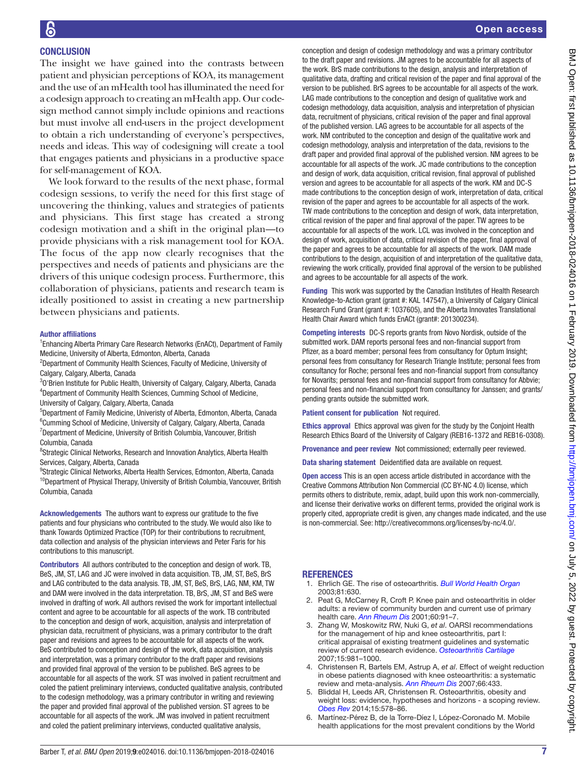# **CONCLUSION**

The insight we have gained into the contrasts between patient and physician perceptions of KOA, its management and the use of an mHealth tool has illuminated the need for a codesign approach to creating an mHealth app. Our codesign method cannot simply include opinions and reactions but must involve all end-users in the project development to obtain a rich understanding of everyone's perspectives, needs and ideas. This way of codesigning will create a tool that engages patients and physicians in a productive space for self-management of KOA.

We look forward to the results of the next phase, formal codesign sessions, to verify the need for this first stage of uncovering the thinking, values and strategies of patients and physicians. This first stage has created a strong codesign motivation and a shift in the original plan—to provide physicians with a risk management tool for KOA. The focus of the app now clearly recognises that the perspectives and needs of patients and physicians are the drivers of this unique codesign process. Furthermore, this collaboration of physicians, patients and research team is ideally positioned to assist in creating a new partnership between physicians and patients.

#### Author affiliations

<sup>1</sup> Enhancing Alberta Primary Care Research Networks (EnACt), Department of Family Medicine, University of Alberta, Edmonton, Alberta, Canada

<sup>2</sup>Department of Community Health Sciences, Faculty of Medicine, University of Calgary, Calgary, Alberta, Canada

<sup>3</sup>O'Brien Institute for Public Health, University of Calgary, Calgary, Alberta, Canada 4 Department of Community Health Sciences, Cumming School of Medicine, University of Calgary, Calgary, Alberta, Canada

5 Department of Family Medicine, Univeristy of Alberta, Edmonton, Alberta, Canada <sup>6</sup>Cumming School of Medicine, University of Calgary, Calgary, Alberta, Canada <sup>7</sup>Department of Medicine, University of British Columbia, Vancouver, British Columbia, Canada

<sup>8</sup>Strategic Clinical Networks, Research and Innovation Analytics, Alberta Health Services, Calgary, Alberta, Canada

<sup>9</sup>Strategic Clinical Networks, Alberta Health Services, Edmonton, Alberta, Canada <sup>10</sup>Department of Physical Therapy, University of British Columbia, Vancouver, British Columbia, Canada

Acknowledgements The authors want to express our gratitude to the five patients and four physicians who contributed to the study. We would also like to thank Towards Optimized Practice (TOP) for their contributions to recruitment, data collection and analysis of the physician interviews and Peter Faris for his contributions to this manuscript.

Contributors All authors contributed to the conception and design of work. TB, BeS, JM, ST, LAG and JC were involved in data acquisition. TB, JM, ST, BeS, BrS and LAG contributed to the data analysis. TB, JM, ST, BeS, BrS, LAG, NM, KM, TW and DAM were involved in the data interpretation. TB, BrS, JM, ST and BeS were involved in drafting of work. All authors revised the work for important intellectual content and agree to be accountable for all aspects of the work. TB contributed to the conception and design of work, acquisition, analysis and interpretation of physician data, recruitment of physicians, was a primary contributor to the draft paper and revisions and agrees to be accountable for all aspects of the work. BeS contributed to conception and design of the work, data acquisition, analysis and interpretation, was a primary contributor to the draft paper and revisions and provided final approval of the version to be published. BeS agrees to be accountable for all aspects of the work. ST was involved in patient recruitment and coled the patient preliminary interviews, conducted qualitative analysis, contributed to the codesign methodology, was a primary contributor in writing and reviewing the paper and provided final approval of the published version. ST agrees to be accountable for all aspects of the work. JM was involved in patient recruitment and coled the patient preliminary interviews, conducted qualitative analysis,

conception and design of codesign methodology and was a primary contributor to the draft paper and revisions. JM agrees to be accountable for all aspects of the work. BrS made contributions to the design, analysis and interpretation of qualitative data, drafting and critical revision of the paper and final approval of the version to be published. BrS agrees to be accountable for all aspects of the work. LAG made contributions to the conception and design of qualitative work and codesign methodology, data acquisition, analysis and interpretation of physician data, recruitment of physicians, critical revision of the paper and final approval of the published version. LAG agrees to be accountable for all aspects of the work. NM contributed to the conception and design of the qualitative work and codesign methodology, analysis and interpretation of the data, revisions to the draft paper and provided final approval of the published version. NM agrees to be accountable for all aspects of the work. JC made contributions to the conception and design of work, data acquisition, critical revision, final approval of published version and agrees to be accountable for all aspects of the work. KM and DC-S made contributions to the conception design of work, interpretation of data, critical revision of the paper and agrees to be accountable for all aspects of the work. TW made contributions to the conception and design of work, data interpretation, critical revision of the paper and final approval of the paper. TW agrees to be accountable for all aspects of the work. LCL was involved in the conception and design of work, acquisition of data, critical revision of the paper, final approval of the paper and agrees to be accountable for all aspects of the work. DAM made contributions to the design, acquisition of and interpretation of the qualitative data, reviewing the work critically, provided final approval of the version to be published and agrees to be accountable for all aspects of the work.

Funding This work was supported by the Canadian Institutes of Health Research Knowledge-to-Action grant (grant #: KAL 147547), a University of Calgary Clinical Research Fund Grant (grant #: 1037605), and the Alberta Innovates Translational Health Chair Award which funds EnACt (grant#: 201300234).

Competing interests DC-S reports grants from Novo Nordisk, outside of the submitted work. DAM reports personal fees and non-financial support from Pfizer, as a board member; personal fees from consultancy for Optum Insight; personal fees from consultancy for Research Triangle Institute; personal fees from consultancy for Roche; personal fees and non-financial support from consultancy for Novarits; personal fees and non-financial support from consultancy for Abbvie; personal fees and non-financial support from consultancy for Janssen; and grants/ pending grants outside the submitted work.

Patient consent for publication Not required.

Ethics approval Ethics approval was given for the study by the Conjoint Health Research Ethics Board of the University of Calgary (REB16-1372 and REB16-0308).

Provenance and peer review Not commissioned; externally peer reviewed.

Data sharing statement Deidentified data are available on request.

Open access This is an open access article distributed in accordance with the Creative Commons Attribution Non Commercial (CC BY-NC 4.0) license, which permits others to distribute, remix, adapt, build upon this work non-commercially, and license their derivative works on different terms, provided the original work is properly cited, appropriate credit is given, any changes made indicated, and the use is non-commercial. See: [http://creativecommons.org/licenses/by-nc/4.0/.](http://creativecommons.org/licenses/by-nc/4.0/)

# **REFERENCES**

- <span id="page-6-0"></span>1. Ehrlich GE. The rise of osteoarthritis. *[Bull World Health Organ](http://www.ncbi.nlm.nih.gov/pubmed/14710502)* 2003;81:630.
- 2. Peat G, McCarney R, Croft P. Knee pain and osteoarthritis in older adults: a review of community burden and current use of primary health care. *[Ann Rheum Dis](http://dx.doi.org/10.1136/ard.60.2.91)* 2001;60:91–7.
- <span id="page-6-1"></span>3. Zhang W, Moskowitz RW, Nuki G, *et al*. OARSI recommendations for the management of hip and knee osteoarthritis, part I: critical appraisal of existing treatment guidelines and systematic review of current research evidence. *[Osteoarthritis Cartilage](http://dx.doi.org/10.1016/j.joca.2007.06.014)* 2007;15:981–1000.
- 4. Christensen R, Bartels EM, Astrup A, *et al*. Effect of weight reduction in obese patients diagnosed with knee osteoarthritis: a systematic review and meta-analysis. *[Ann Rheum Dis](http://dx.doi.org/10.1136/ard.2006.065904)* 2007;66:433.
- <span id="page-6-2"></span>5. Bliddal H, Leeds AR, Christensen R. Osteoarthritis, obesity and weight loss: evidence, hypotheses and horizons - a scoping review. *[Obes Rev](http://dx.doi.org/10.1111/obr.12173)* 2014;15:578–86.
- <span id="page-6-3"></span>6. Martínez-Pérez B, de la Torre-Díez I, López-Coronado M. Mobile health applications for the most prevalent conditions by the World